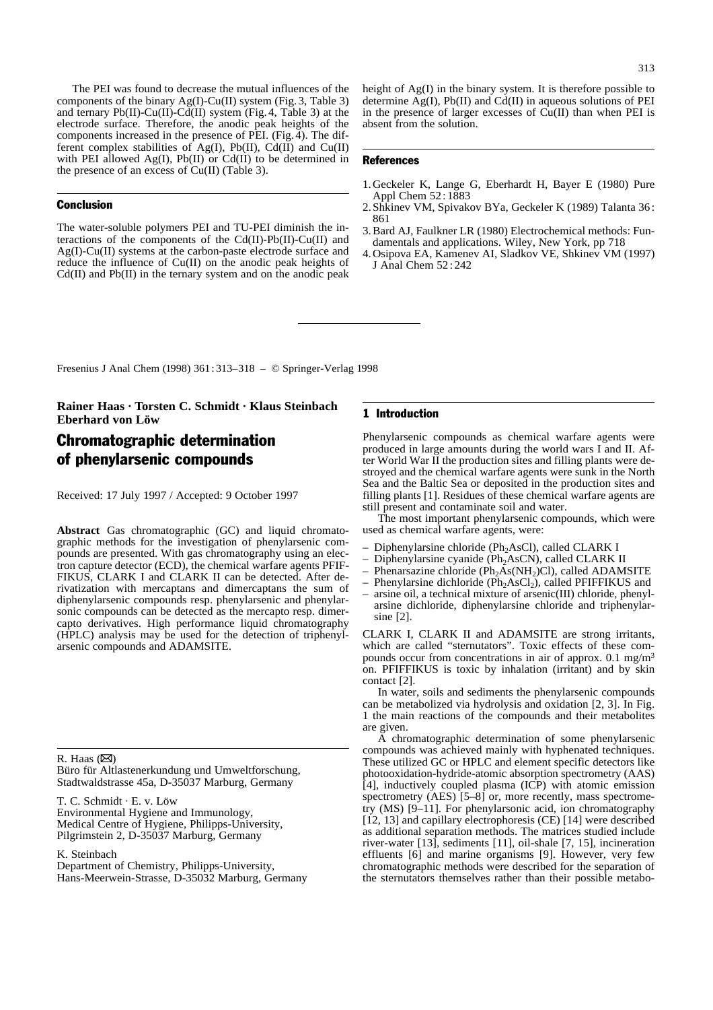The PEI was found to decrease the mutual influences of the components of the binary  $Ag(I)-Cu(II)$  system (Fig. 3, Table 3) and ternary  $Pb(II)$ -Cu(II)-Cd(II) system (Fig. 4, Table 3) at the electrode surface. Therefore, the anodic peak heights of the components increased in the presence of PEI. (Fig. 4). The different complex stabilities of Ag(I), Pb(II), Cd(II) and Cu(II) with PEI allowed Ag(I), Pb(II) or Cd(II) to be determined in the presence of an excess of Cu(II) (Table 3).

# **Conclusion**

The water-soluble polymers PEI and TU-PEI diminish the interactions of the components of the Cd(II)-Pb(II)-Cu(II) and Ag(I)-Cu(II) systems at the carbon-paste electrode surface and reduce the influence of Cu(II) on the anodic peak heights of Cd(II) and Pb(II) in the ternary system and on the anodic peak

height of Ag(I) in the binary system. It is therefore possible to determine  $\text{Ag}(I)$ , Pb(II) and Cd(II) in aqueous solutions of PEI in the presence of larger excesses of Cu(II) than when PEI is absent from the solution.

#### References

- 1. Geckeler K, Lange G, Eberhardt H, Bayer E (1980) Pure Appl Chem 52 : 1883
- 2. Shkinev VM, Spivakov BYa, Geckeler K (1989) Talanta 36 : 861
- 3. Bard AJ, Faulkner LR (1980) Electrochemical methods: Fundamentals and applications. Wiley, New York, pp 718
- 4. Osipova EA, Kamenev AI, Sladkov VE, Shkinev VM (1997) J Anal Chem 52 : 242

Fresenius J Anal Chem (1998) 361 : 313–318 – © Springer-Verlag 1998

**Rainer Haas · Torsten C. Schmidt · Klaus Steinbach · Eberhard von Löw**

# Chromatographic determination of phenylarsenic compounds

Received: 17 July 1997 / Accepted: 9 October 1997

**Abstract** Gas chromatographic (GC) and liquid chromatographic methods for the investigation of phenylarsenic compounds are presented. With gas chromatography using an electron capture detector (ECD), the chemical warfare agents PFIF-FIKUS, CLARK I and CLARK II can be detected. After derivatization with mercaptans and dimercaptans the sum of diphenylarsenic compounds resp. phenylarsenic and phenylarsonic compounds can be detected as the mercapto resp. dimercapto derivatives. High performance liquid chromatography (HPLC) analysis may be used for the detection of triphenylarsenic compounds and ADAMSITE.

R. Haas  $(\mathbb{N})$ 

Büro für Altlastenerkundung und Umweltforschung, Stadtwaldstrasse 45a, D-35037 Marburg, Germany

T. C. Schmidt · E. v. Löw Environmental Hygiene and Immunology, Medical Centre of Hygiene, Philipps-University, Pilgrimstein 2, D-35037 Marburg, Germany

#### K. Steinbach

Department of Chemistry, Philipps-University, Hans-Meerwein-Strasse, D-35032 Marburg, Germany

# 1 Introduction

Phenylarsenic compounds as chemical warfare agents were produced in large amounts during the world wars I and II. After World War II the production sites and filling plants were destroyed and the chemical warfare agents were sunk in the North Sea and the Baltic Sea or deposited in the production sites and filling plants [1]. Residues of these chemical warfare agents are still present and contaminate soil and water.

The most important phenylarsenic compounds, which were used as chemical warfare agents, were:

- $-$  Diphenylarsine chloride (Ph<sub>2</sub>AsCl), called CLARK I
- $-$  Diphenylarsine cyanide (Ph<sub>2</sub>AsCN), called CLARK II
- Phenarsazine chloride ( $Ph<sub>2</sub>As(NH<sub>2</sub>)Cl$ ), called ADAMSITE
- Phenylarsine dichloride ( $Ph<sub>2</sub>AsCl<sub>2</sub>$ ), called PFIFFIKUS and
- arsine oil, a technical mixture of arsenic(III) chloride, phenylarsine dichloride, diphenylarsine chloride and triphenylarsine [2].

CLARK I, CLARK II and ADAMSITE are strong irritants, which are called "sternutators". Toxic effects of these compounds occur from concentrations in air of approx. 0.1 mg/m3 on. PFIFFIKUS is toxic by inhalation (irritant) and by skin contact [2].

In water, soils and sediments the phenylarsenic compounds can be metabolized via hydrolysis and oxidation [2, 3]. In Fig. 1 the main reactions of the compounds and their metabolites are given.

A chromatographic determination of some phenylarsenic compounds was achieved mainly with hyphenated techniques. These utilized GC or HPLC and element specific detectors like photooxidation-hydride-atomic absorption spectrometry (AAS) [4], inductively coupled plasma (ICP) with atomic emission spectrometry (AES) [5–8] or, more recently, mass spectrometry (MS) [9–11]. For phenylarsonic acid, ion chromatography [12, 13] and capillary electrophoresis (CE) [14] were described as additional separation methods. The matrices studied include river-water [13], sediments [11], oil-shale [7, 15], incineration effluents [6] and marine organisms [9]. However, very few chromatographic methods were described for the separation of the sternutators themselves rather than their possible metabo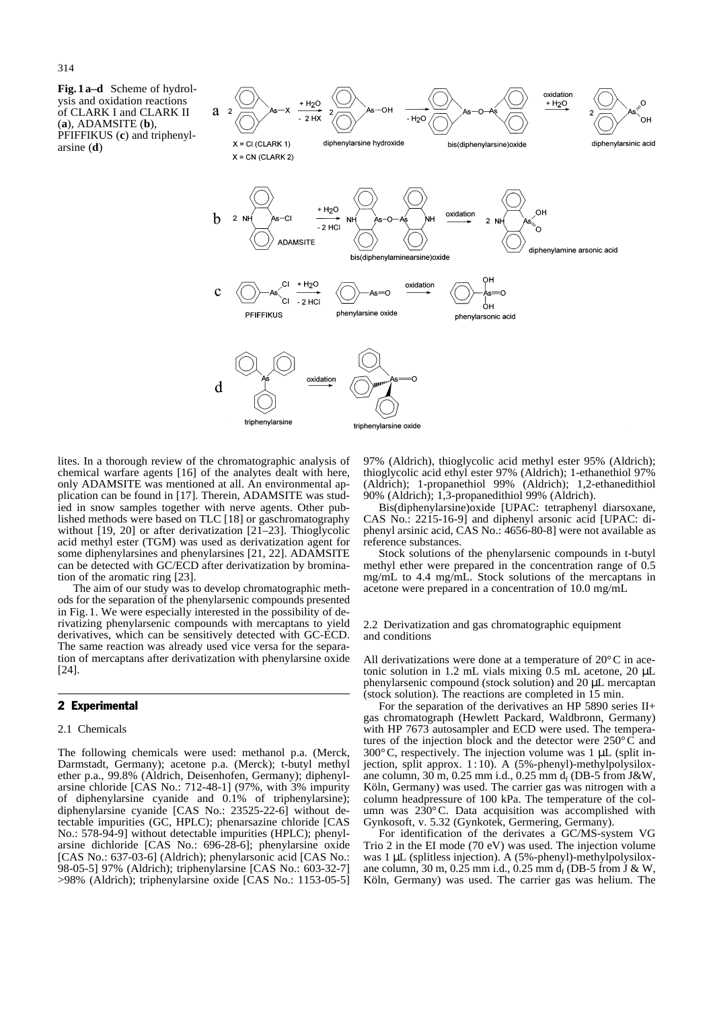**Fig. 1 a–d** Scheme of hydrolysis and oxidation reactions of CLARK I and CLARK II (**a**), ADAMSITE (**b**), PFIFFIKUS (**c**) and triphenylarsine (**d**)



lites. In a thorough review of the chromatographic analysis of chemical warfare agents [16] of the analytes dealt with here, only ADAMSITE was mentioned at all. An environmental application can be found in [17]. Therein, ADAMSITE was studied in snow samples together with nerve agents. Other published methods were based on TLC [18] or gaschromatography without [19, 20] or after derivatization [21–23]. Thioglycolic acid methyl ester (TGM) was used as derivatization agent for some diphenylarsines and phenylarsines [21, 22]. ADAMSITE can be detected with GC/ECD after derivatization by bromination of the aromatic ring [23].

The aim of our study was to develop chromatographic methods for the separation of the phenylarsenic compounds presented in Fig. 1. We were especially interested in the possibility of derivatizing phenylarsenic compounds with mercaptans to yield derivatives, which can be sensitively detected with GC-ECD. The same reaction was already used vice versa for the separation of mercaptans after derivatization with phenylarsine oxide [24].

## 2 Experimental

#### 2.1 Chemicals

The following chemicals were used: methanol p.a. (Merck, Darmstadt, Germany); acetone p.a. (Merck); t-butyl methyl ether p.a., 99.8% (Aldrich, Deisenhofen, Germany); diphenylarsine chloride [CAS No.: 712-48-1] (97%, with 3% impurity of diphenylarsine cyanide and 0.1% of triphenylarsine); diphenylarsine cyanide [CAS No.: 23525-22-6] without detectable impurities (GC, HPLC); phenarsazine chloride [CAS No.: 578-94-9] without detectable impurities (HPLC); phenylarsine dichloride [CAS No.: 696-28-6]; phenylarsine oxide [CAS No.: 637-03-6] (Aldrich); phenylarsonic acid [CAS No.: 98-05-5] 97% (Aldrich); triphenylarsine [CAS No.: 603-32-7] >98% (Aldrich); triphenylarsine oxide [CAS No.: 1153-05-5] 97% (Aldrich), thioglycolic acid methyl ester 95% (Aldrich); thioglycolic acid ethyl ester 97% (Aldrich); 1-ethanethiol 97% (Aldrich); 1-propanethiol 99% (Aldrich); 1,2-ethanedithiol 90% (Aldrich); 1,3-propanedithiol 99% (Aldrich).

Bis(diphenylarsine)oxide [UPAC: tetraphenyl diarsoxane, CAS No.: 2215-16-9] and diphenyl arsonic acid [UPAC: diphenyl arsinic acid, CAS No.: 4656-80-8] were not available as reference substances.

Stock solutions of the phenylarsenic compounds in t-butyl methyl ether were prepared in the concentration range of 0.5 mg/mL to 4.4 mg/mL. Stock solutions of the mercaptans in acetone were prepared in a concentration of 10.0 mg/mL

#### 2.2 Derivatization and gas chromatographic equipment and conditions

All derivatizations were done at a temperature of 20°C in acetonic solution in 1.2 mL vials mixing 0.5 mL acetone, 20 µL phenylarsenic compound (stock solution) and 20 µL mercaptan (stock solution). The reactions are completed in 15 min.

For the separation of the derivatives an HP 5890 series II+ gas chromatograph (Hewlett Packard, Waldbronn, Germany) with HP 7673 autosampler and ECD were used. The temperatures of the injection block and the detector were  $250^{\circ}$ C and  $300^{\circ}$ C, respectively. The injection volume was 1 µL (split injection, split approx. 1: 10). A (5%-phenyl)-methylpolysiloxane column, 30 m, 0.25 mm i.d., 0.25 mm  $d_f$  (DB-5 from J&W, Köln, Germany) was used. The carrier gas was nitrogen with a column headpressure of 100 kPa. The temperature of the column was  $230^{\circ}$ C. Data acquisition was accomplished with Gynkosoft, v. 5.32 (Gynkotek, Germering, Germany).

For identification of the derivates a GC/MS-system VG Trio 2 in the EI mode (70 eV) was used. The injection volume was 1 µL (splitless injection). A (5%-phenyl)-methylpolysiloxane column, 30 m, 0.25 mm i.d., 0.25 mm  $d_f$  (DB-5 from J & W, Köln, Germany) was used. The carrier gas was helium. The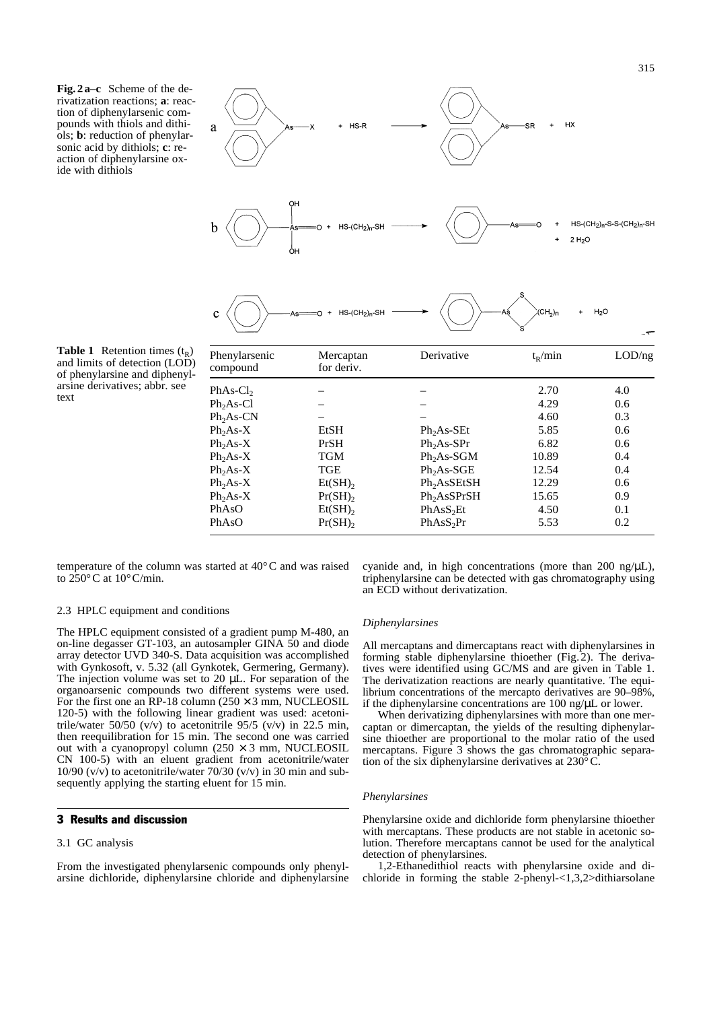**Fig. 2 a–c** Scheme of the derivatization reactions; **a**: reaction of diphenylarsenic compounds with thiols and dithiols; **b**: reduction of phenylarsonic acid by dithiols; **c**: reaction of diphenylarsine oxide with dithiols



**Table 1** Retention times  $(t_R)$ and limits of detection (LOD) of phenylarsine and diphenylarsine derivatives; abbr. see text

temperature of the column was started at 40°C and was raised to 250°C at 10°C/min.

# 2.3 HPLC equipment and conditions

The HPLC equipment consisted of a gradient pump M-480, an on-line degasser GT-103, an autosampler GINA 50 and diode array detector UVD 340-S. Data acquisition was accomplished with Gynkosoft, v. 5.32 (all Gynkotek, Germering, Germany). The injection volume was set to  $20 \mu L$ . For separation of the organoarsenic compounds two different systems were used. For the first one an RP-18 column  $(250 \times 3 \text{ mm}, \text{NUCLEOSIL})$ 120-5) with the following linear gradient was used: acetonitrile/water 50/50 (v/v) to acetonitrile 95/5 (v/v) in 22.5 min, then reequilibration for 15 min. The second one was carried out with a cyanopropyl column ( $250 \times 3$  mm, NUCLEOSIL CN 100-5) with an eluent gradient from acetonitrile/water  $10/90$  (v/v) to acetonitrile/water 70/30 (v/v) in 30 min and subsequently applying the starting eluent for 15 min.

#### 3 Results and discussion

#### 3.1 GC analysis

From the investigated phenylarsenic compounds only phenylarsine dichloride, diphenylarsine chloride and diphenylarsine

cyanide and, in high concentrations (more than  $200 \text{ ng/µL}$ ), triphenylarsine can be detected with gas chromatography using an ECD without derivatization.

#### *Diphenylarsines*

PhAsO  $Et(SH)_2$  PhAsS<sub>2</sub>Et 4.50 0.1 PhAsO  $Pr(SH)_2$  PhAsS<sub>2</sub>Pr 5.53 0.2

> All mercaptans and dimercaptans react with diphenylarsines in forming stable diphenylarsine thioether (Fig. 2). The derivatives were identified using GC/MS and are given in Table 1. The derivatization reactions are nearly quantitative. The equilibrium concentrations of the mercapto derivatives are 90–98%, if the diphenylarsine concentrations are 100 ng/µL or lower.

> When derivatizing diphenylarsines with more than one mercaptan or dimercaptan, the yields of the resulting diphenylarsine thioether are proportional to the molar ratio of the used mercaptans. Figure 3 shows the gas chromatographic separation of the six diphenylarsine derivatives at  $230^{\circ}$ C.

#### *Phenylarsines*

Phenylarsine oxide and dichloride form phenylarsine thioether with mercaptans. These products are not stable in acetonic solution. Therefore mercaptans cannot be used for the analytical detection of phenylarsines.

1,2-Ethanedithiol reacts with phenylarsine oxide and dichloride in forming the stable 2-phenyl-<1,3,2>dithiarsolane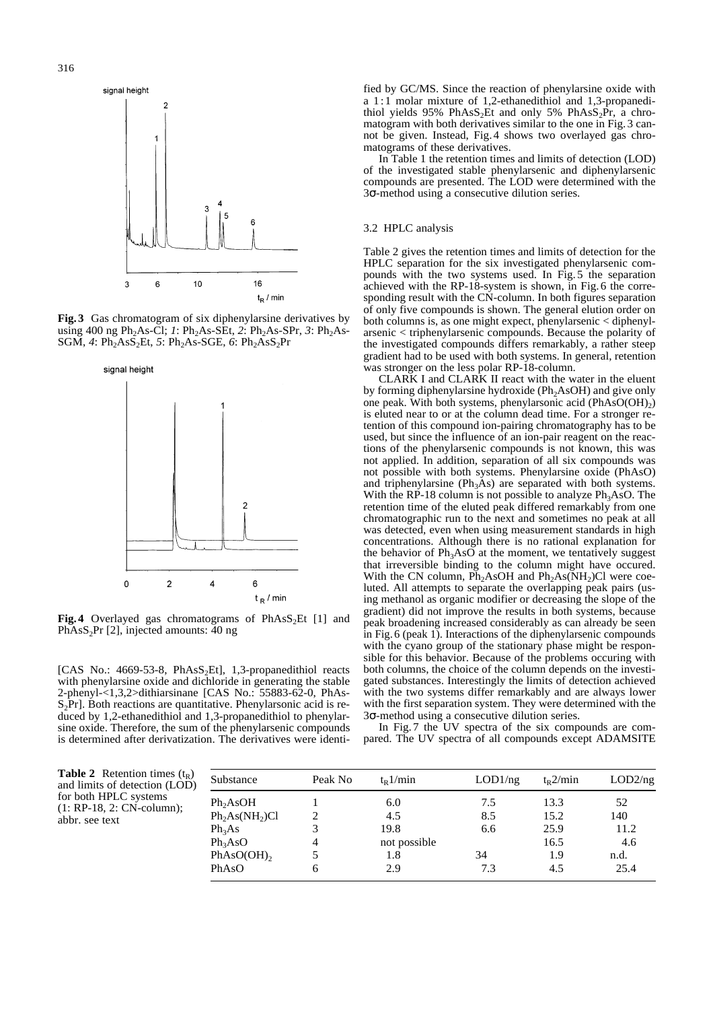

**Fig. 3** Gas chromatogram of six diphenylarsine derivatives by using 400 ng Ph<sub>2</sub>As-Cl; *1*: Ph<sub>2</sub>As-SEt, 2: Ph<sub>2</sub>As-SPr, 3: Ph<sub>2</sub>As-SGM, 4: Ph<sub>2</sub>AsS<sub>2</sub>Et, 5: Ph<sub>2</sub>As-SGE, 6: Ph<sub>2</sub>AsS<sub>2</sub>Pr



**Fig. 4** Overlayed gas chromatograms of  $PhAsS_2Et$  [1] and PhAsS<sub>2</sub>Pr [2], injected amounts: 40 ng

[CAS No.:  $4669-53-8$ , PhAsS<sub>2</sub>Et], 1,3-propanedithiol reacts with phenylarsine oxide and dichloride in generating the stable 2-phenyl-<1,3,2>dithiarsinane [CAS No.: 55883-62-0, PhAs- $S<sub>2</sub>Pr$ ]. Both reactions are quantitative. Phenylarsonic acid is reduced by 1,2-ethanedithiol and 1,3-propanedithiol to phenylarsine oxide. Therefore, the sum of the phenylarsenic compounds is determined after derivatization. The derivatives were identi-

fied by GC/MS. Since the reaction of phenylarsine oxide with a 1 : 1 molar mixture of 1,2-ethanedithiol and 1,3-propanedithiol yields  $95\%$  PhAsS<sub>2</sub>Et and only 5% PhAsS<sub>2</sub>Pr, a chromatogram with both derivatives similar to the one in Fig. 3 cannot be given. Instead, Fig.4 shows two overlayed gas chromatograms of these derivatives.

In Table 1 the retention times and limits of detection (LOD) of the investigated stable phenylarsenic and diphenylarsenic compounds are presented. The LOD were determined with the 3σ-method using a consecutive dilution series.

### 3.2 HPLC analysis

Table 2 gives the retention times and limits of detection for the HPLC separation for the six investigated phenylarsenic compounds with the two systems used. In Fig.5 the separation achieved with the RP-18-system is shown, in Fig. 6 the corresponding result with the CN-column. In both figures separation of only five compounds is shown. The general elution order on both columns is, as one might expect, phenylarsenic < diphenylarsenic < triphenylarsenic compounds. Because the polarity of the investigated compounds differs remarkably, a rather steep gradient had to be used with both systems. In general, retention was stronger on the less polar RP-18-column.

CLARK I and CLARK II react with the water in the eluent by forming diphenylarsine hydroxide (Ph<sub>2</sub>AsOH) and give only one peak. With both systems, phenylarsonic acid (PhAsO(OH)<sub>2</sub>) is eluted near to or at the column dead time. For a stronger retention of this compound ion-pairing chromatography has to be used, but since the influence of an ion-pair reagent on the reactions of the phenylarsenic compounds is not known, this was not applied. In addition, separation of all six compounds was not possible with both systems. Phenylarsine oxide (PhAsO) and triphenylarsine ( $Ph<sub>3</sub>As$ ) are separated with both systems. With the RP-18 column is not possible to analyze  $Ph<sub>3</sub>AsO$ . The retention time of the eluted peak differed remarkably from one chromatographic run to the next and sometimes no peak at all was detected, even when using measurement standards in high concentrations. Although there is no rational explanation for the behavior of  $Ph<sub>3</sub>AsO$  at the moment, we tentatively suggest that irreversible binding to the column might have occured. With the CN column,  $\overline{Ph}_2AsOH$  and  $\overline{Ph}_2As(\overline{NH}_2)Cl$  were coeluted. All attempts to separate the overlapping peak pairs (using methanol as organic modifier or decreasing the slope of the gradient) did not improve the results in both systems, because peak broadening increased considerably as can already be seen in Fig.6 (peak 1). Interactions of the diphenylarsenic compounds with the cyano group of the stationary phase might be responsible for this behavior. Because of the problems occuring with both columns, the choice of the column depends on the investigated substances. Interestingly the limits of detection achieved with the two systems differ remarkably and are always lower with the first separation system. They were determined with the 3σ-method using a consecutive dilution series.

In Fig. 7 the UV spectra of the six compounds are compared. The UV spectra of all compounds except ADAMSITE

| <b>Table 2</b> Retention times $(t_R)$ |
|----------------------------------------|
| and limits of detection (LOD)          |
| for both HPLC systems                  |
| $(1: RP-18, 2: CN-column);$            |
| abbr. see text                         |

| Substance                              | Peak No | $t_{\rm p}$ 1/min | LOD1/ng | $t_{\rm B}$ 2/min | LOD2/ng |
|----------------------------------------|---------|-------------------|---------|-------------------|---------|
| Ph <sub>2</sub> AsOH                   |         | 6.0               | 7.5     | 13.3              | 52      |
| Ph <sub>2</sub> As(NH <sub>2</sub> )Cl | 2       | 4.5               | 8.5     | 15.2              | 140     |
| Ph <sub>3</sub> As                     |         | 19.8              | 6.6     | 25.9              | 11.2    |
| Ph <sub>3</sub> AsO                    | 4       | not possible      |         | 16.5              | 4.6     |
| PhAsO(OH)                              |         | 1.8               | 34      | 1.9               | n.d.    |
| PhAsO                                  | 6       | 2.9               | 7.3     | 4.5               | 25.4    |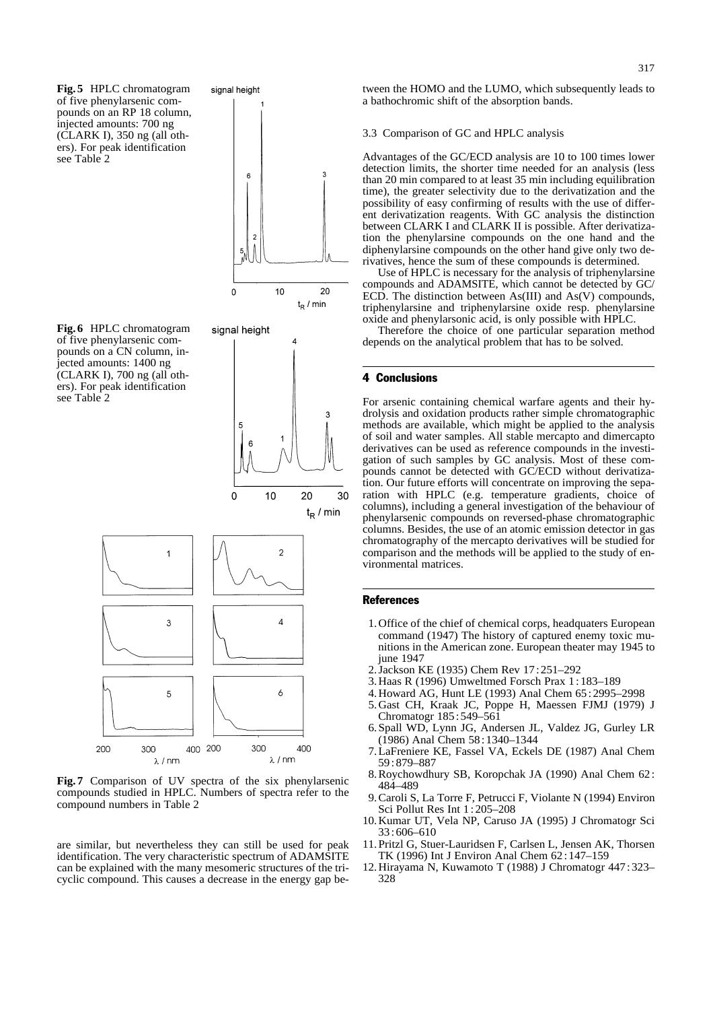**Fig. 5** HPLC chromatogram of five phenylarsenic compounds on an RP 18 column, injected amounts: 700 ng (CLARK I), 350 ng (all others). For peak identification see Table 2

see Table 2

200

300

 $\lambda$  / nm



signal height

**Fig. 7** Comparison of UV spectra of the six phenylarsenic compounds studied in HPLC. Numbers of spectra refer to the compound numbers in Table 2

400 200

300

400

 $\lambda$  / nm

are similar, but nevertheless they can still be used for peak identification. The very characteristic spectrum of ADAMSITE can be explained with the many mesomeric structures of the tricyclic compound. This causes a decrease in the energy gap between the HOMO and the LUMO, which subsequently leads to a bathochromic shift of the absorption bands.

#### 3.3 Comparison of GC and HPLC analysis

Advantages of the GC/ECD analysis are 10 to 100 times lower detection limits, the shorter time needed for an analysis (less than 20 min compared to at least 35 min including equilibration time), the greater selectivity due to the derivatization and the possibility of easy confirming of results with the use of different derivatization reagents. With GC analysis the distinction between CLARK I and CLARK II is possible. After derivatization the phenylarsine compounds on the one hand and the diphenylarsine compounds on the other hand give only two derivatives, hence the sum of these compounds is determined.

Use of HPLC is necessary for the analysis of triphenylarsine compounds and ADAMSITE, which cannot be detected by GC/ ECD. The distinction between  $As(III)$  and  $As(V)$  compounds, triphenylarsine and triphenylarsine oxide resp. phenylarsine oxide and phenylarsonic acid, is only possible with HPLC.

Therefore the choice of one particular separation method depends on the analytical problem that has to be solved.

# 4 Conclusions

For arsenic containing chemical warfare agents and their hydrolysis and oxidation products rather simple chromatographic methods are available, which might be applied to the analysis of soil and water samples. All stable mercapto and dimercapto derivatives can be used as reference compounds in the investigation of such samples by GC analysis. Most of these compounds cannot be detected with GC/ECD without derivatization. Our future efforts will concentrate on improving the separation with HPLC (e.g. temperature gradients, choice of columns), including a general investigation of the behaviour of phenylarsenic compounds on reversed-phase chromatographic columns. Besides, the use of an atomic emission detector in gas chromatography of the mercapto derivatives will be studied for comparison and the methods will be applied to the study of environmental matrices.

## **References**

- 1. Office of the chief of chemical corps, headquaters European command (1947) The history of captured enemy toxic munitions in the American zone. European theater may 1945 to june 1947
- 2. Jackson KE (1935) Chem Rev 17 : 251–292
- 3. Haas R (1996) Umweltmed Forsch Prax 1 : 183–189
- 4. Howard AG, Hunt LE (1993) Anal Chem 65 : 2995–2998
- 5. Gast CH, Kraak JC, Poppe H, Maessen FJMJ (1979) J Chromatogr 185 : 549–561
- 6. Spall WD, Lynn JG, Andersen JL, Valdez JG, Gurley LR (1986) Anal Chem 58 : 1340–1344
- 7. LaFreniere KE, Fassel VA, Eckels DE (1987) Anal Chem 59 : 879–887
- 8. Roychowdhury SB, Koropchak JA (1990) Anal Chem 62 : 484–489
- 9. Caroli S, La Torre F, Petrucci F, Violante N (1994) Environ Sci Pollut Res Int 1 : 205–208
- 10. Kumar UT, Vela NP, Caruso JA (1995) J Chromatogr Sci 33 : 606–610
- 11. Pritzl G, Stuer-Lauridsen F, Carlsen L, Jensen AK, Thorsen TK (1996) Int J Environ Anal Chem 62 : 147–159
- 12. Hirayama N, Kuwamoto T (1988) J Chromatogr 447 : 323– 328